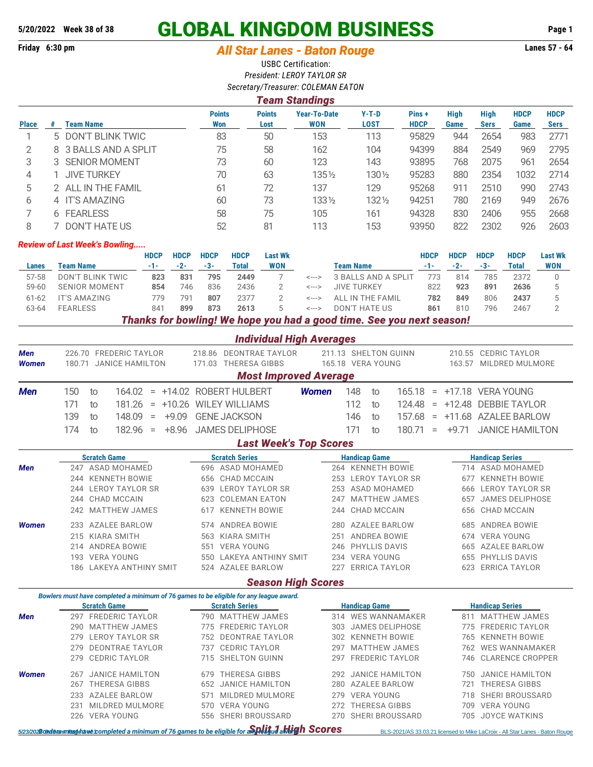# **5/20/2022 Week 38 of 38 GLOBAL KINGDOM BUSINESS Page 1**

# **Friday 6:30 pm** *All Star Lanes - Baton Rouge* **Lanes 57 - 64**

USBC Certification: *President: LEROY TAYLOR SR*

| Secretary/Treasurer: COLEMAN EATON |                       |                       |                      |                       |                                   |                        |                      |                     |                            |                     |                            |  |  |  |
|------------------------------------|-----------------------|-----------------------|----------------------|-----------------------|-----------------------------------|------------------------|----------------------|---------------------|----------------------------|---------------------|----------------------------|--|--|--|
|                                    | <b>Team Standings</b> |                       |                      |                       |                                   |                        |                      |                     |                            |                     |                            |  |  |  |
| <b>Place</b>                       | #                     | <b>Team Name</b>      | <b>Points</b><br>Won | <b>Points</b><br>Lost | <b>Year-To-Date</b><br><b>WON</b> | $Y-T-D$<br><b>LOST</b> | Pins+<br><b>HDCP</b> | <b>High</b><br>Game | <b>High</b><br><b>Sers</b> | <b>HDCP</b><br>Game | <b>HDCP</b><br><b>Sers</b> |  |  |  |
|                                    |                       | 5 DON'T BLINK TWIC    | 83                   | 50                    | 153                               | 113                    | 95829                | 944                 | 2654                       | 983                 | 2771                       |  |  |  |
| 2                                  |                       | 8 3 BALLS AND A SPLIT | 75                   | 58                    | 162                               | 104                    | 94399                | 884                 | 2549                       | 969                 | 2795                       |  |  |  |
| 3                                  |                       | 3 SENIOR MOMENT       | 73                   | 60                    | 123                               | 143                    | 93895                | 768                 | 2075                       | 961                 | 2654                       |  |  |  |
| 4                                  |                       | <b>JIVE TURKEY</b>    | 70                   | 63                    | $135\%$                           | 130 1/2                | 95283                | 880                 | 2354                       | 1032                | 2714                       |  |  |  |
| 5                                  |                       | 2 ALL IN THE FAMIL    | 61                   | 72                    | 137                               | 129                    | 95268                | 911                 | 2510                       | 990                 | 2743                       |  |  |  |
| 6                                  |                       | 4 IT'S AMAZING        | 60                   | 73                    | $133\frac{1}{2}$                  | $132\%$                | 94251                | 780                 | 2169                       | 949                 | 2676                       |  |  |  |
|                                    |                       | 6 FEARLESS            | 58                   | 75                    | 105                               | 161                    | 94328                | 830                 | 2406                       | 955                 | 2668                       |  |  |  |
| 8                                  |                       | DON'T HATE US         | 52                   | 81                    | 113                               | 153                    | 93950                | 822                 | 2302                       | 926                 | 2603                       |  |  |  |

#### *Review of Last Week's Bowling.....*

|           |                                                                       | HDCP  | <b>HDCP</b> | <b>HDCP</b> | <b>HDCP</b> | <b>Last Wk</b> |           |                     | HDCP  | <b>HDCP</b> | <b>HDCP</b> | <b>HDCP</b> | <b>Last Wk</b> |  |
|-----------|-----------------------------------------------------------------------|-------|-------------|-------------|-------------|----------------|-----------|---------------------|-------|-------------|-------------|-------------|----------------|--|
| Lanes     | Team Name                                                             | $-1-$ | $-2-$       | $-3-$       | Total       | <b>WON</b>     | Team Name |                     | $-1-$ | $-2-$       | $-3-$       | Total       | WON            |  |
| 57-58     | DON'T BLINK TWIC                                                      | 823   | 831         | 795         | 2449        |                | <--->     | 3 BALLS AND A SPLIT | 773   | 814         | 785         | 2372        |                |  |
| $59 - 60$ | <b>SENIOR MOMENT</b>                                                  | 854   | 746         | 836         | 2436        |                | <--->     | <b>JIVE TURKEY</b>  | 822   | 923         | 891         | 2636        |                |  |
| $61-62$   | IT'S AMAZING                                                          | 779   | 791         | 807         | 2377        |                | <--->     | ALL IN THE FAMIL    | 782   | 849         | 806         | 2437        |                |  |
| 63-64     | <b>FEARLESS</b>                                                       | 84    | 899         | 873         | 2613        |                | <--->     | DON'T HATE US       | 861   | 810         | 796         | 2467        |                |  |
|           | Thanks for bowling! We hope you had a good time. See you next season! |       |             |             |             |                |           |                     |       |             |             |             |                |  |

|              |                                                                                        | <b>Individual High Averages</b> |                                     |                                                     |  |  |  |
|--------------|----------------------------------------------------------------------------------------|---------------------------------|-------------------------------------|-----------------------------------------------------|--|--|--|
| <b>Men</b>   | 226.70 FREDERIC TAYLOR                                                                 | 218.86 DEONTRAE TAYLOR          | 211.13 SHELTON GUINN                | <b>CEDRIC TAYLOR</b><br>210.55                      |  |  |  |
| <b>Women</b> | 180.71 JANICE HAMILTON                                                                 | <b>THERESA GIBBS</b><br>171.03  | 165.18 VERA YOUNG                   | MILDRED MULMORE<br>163.57                           |  |  |  |
|              |                                                                                        | <b>Most Improved Average</b>    |                                     |                                                     |  |  |  |
| <b>Men</b>   | 150<br>164.02<br>to<br>$\equiv$                                                        | +14.02 ROBERT HULBERT           | 148<br><b>Women</b><br>165.18<br>to | +17.18 VERA YOUNG<br>$\equiv$                       |  |  |  |
|              | 171<br>181.26<br>$+10.26$<br>to<br>$\equiv$                                            | <b>WILEY WILLIAMS</b>           | 112<br>124.48<br>to                 | <b>DEBBIE TAYLOR</b><br>$+12.48$<br>$\quad \  \  =$ |  |  |  |
|              | 139<br>$+9.09$<br>148.09<br>to<br>$\qquad \qquad =$                                    | <b>GENE JACKSON</b>             | 146<br>157.68<br>to                 | <b>AZALEE BARLOW</b><br>$+11.68$<br>$\equiv$        |  |  |  |
|              | 174<br>182.96<br>$+8.96$<br>to<br>$=$                                                  | <b>JAMES DELIPHOSE</b>          | 171<br>180.71<br>to                 | $+9.71$<br><b>JANICE HAMILTON</b><br>$\equiv$       |  |  |  |
|              |                                                                                        | <b>Last Week's Top Scores</b>   |                                     |                                                     |  |  |  |
|              | <b>Scratch Game</b>                                                                    | <b>Scratch Series</b>           | <b>Handicap Game</b>                | <b>Handicap Series</b>                              |  |  |  |
| <b>Men</b>   | 247 ASAD MOHAMED                                                                       | 696 ASAD MOHAMED                | 264 KENNETH BOWIE                   | 714 ASAD MOHAMED                                    |  |  |  |
|              | <b>KENNETH BOWIE</b><br>244                                                            | CHAD MCCAIN<br>656              | <b>LEROY TAYLOR SR</b><br>253       | <b>KENNETH BOWIE</b><br>677                         |  |  |  |
|              | <b>LEROY TAYLOR SR</b><br>244                                                          | <b>LEROY TAYLOR SR</b><br>639   | <b>ASAD MOHAMED</b><br>253          | <b>LEROY TAYLOR SR</b><br>666                       |  |  |  |
|              | <b>CHAD MCCAIN</b><br>244                                                              | <b>COLEMAN EATON</b><br>623     | <b>MATTHEW JAMES</b><br>247         | <b>JAMES DELIPHOSE</b><br>657                       |  |  |  |
|              | <b>MATTHEW JAMES</b><br>242                                                            | <b>KENNETH BOWIE</b><br>617     | <b>CHAD MCCAIN</b><br>244           | <b>CHAD MCCAIN</b><br>656                           |  |  |  |
| <b>Women</b> | <b>AZALEE BARLOW</b><br>233                                                            | <b>ANDREA BOWIE</b><br>574      | <b>AZALEE BARLOW</b><br>280         | <b>ANDREA BOWIE</b><br>685                          |  |  |  |
|              | <b>KIARA SMITH</b><br>215                                                              | <b>KIARA SMITH</b><br>563       | <b>ANDREA BOWIE</b><br>251          | <b>VERA YOUNG</b><br>674                            |  |  |  |
|              | <b>ANDREA BOWIE</b><br>214                                                             | <b>VERA YOUNG</b><br>551        | <b>PHYLLIS DAVIS</b><br>246         | <b>AZALEE BARLOW</b><br>665                         |  |  |  |
|              | <b>VERA YOUNG</b><br>193                                                               | 550 LAKEYA ANTHINY SMIT         | <b>VERA YOUNG</b><br>234            | PHYLLIS DAVIS<br>655                                |  |  |  |
|              | 186 LAKEYA ANTHINY SMIT                                                                | 524 AZALEE BARLOW               | <b>ERRICA TAYLOR</b><br>227         | <b>ERRICA TAYLOR</b><br>623                         |  |  |  |
|              |                                                                                        | <b>Season High Scores</b>       |                                     |                                                     |  |  |  |
|              | Bowlers must have completed a minimum of 76 games to be eligible for any league award. |                                 |                                     |                                                     |  |  |  |
|              | <b>Scratch Game</b>                                                                    | <b>Scratch Series</b>           | <b>Handicap Game</b>                | <b>Handicap Series</b>                              |  |  |  |
| <b>Men</b>   | <b>FREDERIC TAYLOR</b><br>297                                                          | 790 MATTHEW JAMES               | 314 WES WANNAMAKER                  | <b>MATTHEW JAMES</b><br>811                         |  |  |  |
|              | <b>MATTHEW JAMES</b><br>290                                                            | <b>FREDERIC TAYLOR</b><br>775   | <b>JAMES DELIPHOSE</b><br>303       | <b>FREDERIC TAYLOR</b><br>775                       |  |  |  |
|              | <b>LEROY TAYLOR SR</b><br>279                                                          | 752 DEONTRAE TAYLOR             | <b>KENNETH BOWIE</b><br>302         | <b>KENNETH BOWIE</b><br>765                         |  |  |  |
|              | <b>DEONTRAE TAYLOR</b><br>279                                                          | <b>CEDRIC TAYLOR</b><br>737     | <b>MATTHEW JAMES</b><br>297         | <b>WES WANNAMAKER</b><br>762                        |  |  |  |
|              | <b>CEDRIC TAYLOR</b><br>279                                                            | 715 SHELTON GUINN               | <b>FREDERIC TAYLOR</b><br>297       | <b>CLARENCE CROPPER</b><br>746                      |  |  |  |

*Women* 267 JANICE HAMILTON 679 THERESA GIBBS 292 JANICE HAMILTON 750 JANICE HAMILTON

233 AZALEE BARLOW 571 MILDRED MULMORE 279 VERA YOUNG 718 SHERI BROUSSARD 231 MILDRED MULMORE 570 VERA YOUNG 272 THERESA GIBBS 709 VERA YOUNG 226 VERA YOUNG 556 SHERI BROUSSARD 270 SHERI BROUSSARD 705 JOYCE WATKINS

267 THERESA GIBBS 652 JANICE HAMILTON 280 AZALEE BARLOW 721 THERESA GIBBS

5/23/2028 Gord and Star Lances - Baton Rouge 12/2022/14/2010 BLS-2021/AS 33.03.21 licensed to Mike LaCroix - All Star Lanes - Baton Rouge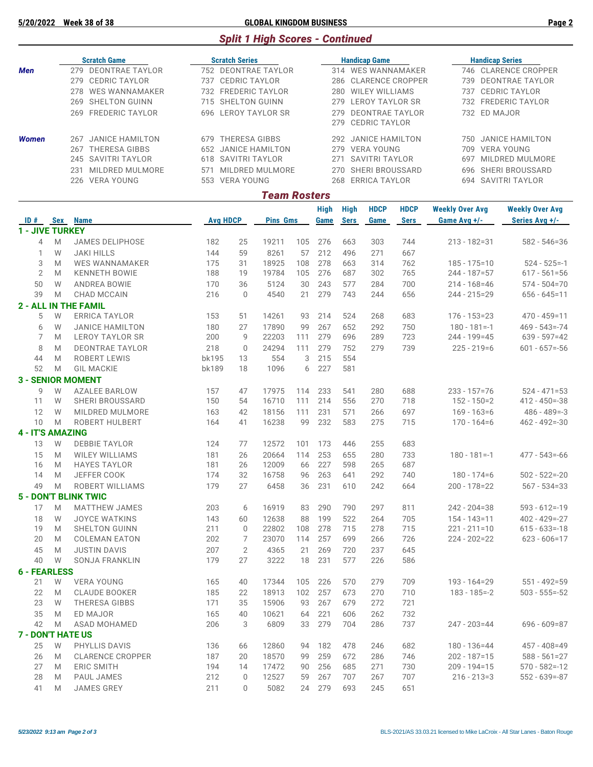### **5/20/2022 Week 38 of 38 GLOBAL KINGDOM BUSINESS Page 2**

# *Split 1 High Scores - Continued*

|              | <b>Scratch Game</b> |                     |     | <b>Scratch Series</b> | <b>Handicap Game</b> | <b>Handicap Series</b> |                      |  |  |
|--------------|---------------------|---------------------|-----|-----------------------|----------------------|------------------------|----------------------|--|--|
| <b>Men</b>   |                     | 279 DEONTRAE TAYLOR |     | 752 DEONTRAE TAYLOR   | 314 WES WANNAMAKER   |                        | 746 CLARENCE CROPPER |  |  |
|              |                     | 279 CEDRIC TAYLOR   |     | 737 CEDRIC TAYLOR     | 286 CLARENCE CROPPER |                        | 739 DEONTRAE TAYLOR  |  |  |
|              |                     | 278 WES WANNAMAKER  |     | 732 FREDERIC TAYLOR   | 280 WILEY WILLIAMS   |                        | 737 CEDRIC TAYLOR    |  |  |
|              |                     | 269 SHELTON GUINN   |     | 715 SHELTON GUINN     | 279 LEROY TAYLOR SR  |                        | 732 FREDERIC TAYLOR  |  |  |
|              |                     | 269 FREDERIC TAYLOR |     | 696 LEROY TAYLOR SR   | 279 DEONTRAE TAYLOR  |                        | 732 ED MAJOR         |  |  |
|              |                     |                     |     |                       | 279 CEDRIC TAYLOR    |                        |                      |  |  |
| <b>Women</b> | 267                 | JANICE HAMILTON     | 679 | THERESA GIBBS         | 292 JANICE HAMILTON  | 750.                   | JANICE HAMILTON      |  |  |
|              | 267                 | THERESA GIBBS       |     | 652 JANICE HAMILTON   | 279 VERA YOUNG       | 709                    | VERA YOUNG           |  |  |
|              |                     | 245 SAVITRI TAYLOR  |     | 618 SAVITRI TAYLOR    | 271 SAVITRI TAYLOR   | 697                    | MILDRED MULMORE      |  |  |
|              | 231                 | MILDRED MULMORE     | 571 | MILDRED MULMORE       | 270 SHERI BROUSSARD  |                        | 696 SHERI BROUSSARD  |  |  |
|              |                     | 226 VERA YOUNG      |     | 553 VERA YOUNG        | 268 ERRICA TAYLOR    |                        | 694 SAVITRI TAYLOR   |  |  |

#### *Team Rosters*

| ID#                      | Sex | <b>Name</b>                 | <b>Avg HDCP</b> |                | <b>Pins Gms</b> |     | High<br>Game | <b>High</b><br><b>Sers</b> | <b>HDCP</b><br>Game | <b>HDCP</b><br><b>Sers</b> | <b>Weekly Over Avg</b><br>Game Avg +/- | <b>Weekly Over Avg</b><br>Series Avg +/- |  |
|--------------------------|-----|-----------------------------|-----------------|----------------|-----------------|-----|--------------|----------------------------|---------------------|----------------------------|----------------------------------------|------------------------------------------|--|
| <b>1 - JIVE TURKEY</b>   |     |                             |                 |                |                 |     |              |                            |                     |                            |                                        |                                          |  |
| $\overline{4}$           | M   | <b>JAMES DELIPHOSE</b>      | 182             | 25             | 19211           | 105 | 276          | 663                        | 303                 | 744                        | $213 - 182 = 31$                       | $582 - 546 = 36$                         |  |
| $\mathbf{1}$             | W   | <b>JAKI HILLS</b>           | 144             | 59             | 8261            | 57  | 212          | 496                        | 271                 | 667                        |                                        |                                          |  |
| 3                        | M   | <b>WES WANNAMAKER</b>       | 175             | 31             | 18925           | 108 | 278          | 663                        | 314                 | 762                        | $185 - 175 = 10$                       | $524 - 525 = -1$                         |  |
| $\overline{2}$           | M   | <b>KENNETH BOWIE</b>        | 188             | 19             | 19784           | 105 | 276          | 687                        | 302                 | 765                        | $244 - 187 = 57$                       | $617 - 561 = 56$                         |  |
| 50                       | W   | ANDREA BOWIE                | 170             | 36             | 5124            | 30  | 243          | 577                        | 284                 | 700                        | $214 - 168 = 46$                       | $574 - 504 = 70$                         |  |
| 39                       | M   | CHAD MCCAIN                 | 216             | $\Omega$       | 4540            | 21  | 279          | 743                        | 244                 | 656                        | $244 - 215 = 29$                       | $656 - 645 = 11$                         |  |
|                          |     | <b>2 - ALL IN THE FAMIL</b> |                 |                |                 |     |              |                            |                     |                            |                                        |                                          |  |
| 5                        | W   | <b>ERRICA TAYLOR</b>        | 153             | 51             | 14261           | 93  | 214          | 524                        | 268                 | 683                        | $176 - 153 = 23$                       | $470 - 459 = 11$                         |  |
| 6                        | W   | <b>JANICE HAMILTON</b>      | 180             | 27             | 17890           | 99  | 267          | 652                        | 292                 | 750                        | $180 - 181 = -1$                       | $469 - 543 = -74$                        |  |
| 7                        | M   | <b>LEROY TAYLOR SR</b>      | 200             | 9              | 22203           | 111 | 279          | 696                        | 289                 | 723                        | 244 - 199 = 45                         | $639 - 597 = 42$                         |  |
| 8                        | M   | <b>DEONTRAE TAYLOR</b>      | 218             | $\Omega$       | 24294           | 111 | 279          | 752                        | 279                 | 739                        | $225 - 219 = 6$                        | $601 - 657 = -56$                        |  |
| 44                       | M   | <b>ROBERT LEWIS</b>         | bk195           | 13             | 554             | 3   | 215          | 554                        |                     |                            |                                        |                                          |  |
| 52                       | M   | <b>GIL MACKIE</b>           | bk189           | 18             | 1096            | 6   | 227          | 581                        |                     |                            |                                        |                                          |  |
|                          |     | <b>3 - SENIOR MOMENT</b>    |                 |                |                 |     |              |                            |                     |                            |                                        |                                          |  |
| 9                        | W   | <b>AZALEE BARLOW</b>        | 157             | 47             | 17975           | 114 | 233          | 541                        | 280                 | 688                        | $233 - 157 = 76$                       | $524 - 471 = 53$                         |  |
| 11                       | W   | <b>SHERI BROUSSARD</b>      | 150             | 54             | 16710           | 111 | 214          | 556                        | 270                 | 718                        | $152 - 150 = 2$                        | $412 - 450 = -38$                        |  |
| 12                       | W   | <b>MILDRED MULMORE</b>      | 163             | 42             | 18156           | 111 | 231          | 571                        | 266                 | 697                        | $169 - 163 = 6$                        | $486 - 489 = -3$                         |  |
| 10                       | M   | <b>ROBERT HULBERT</b>       | 164             | 41             | 16238           | 99  | 232          | 583                        | 275                 | 715                        | $170 - 164 = 6$                        | $462 - 492 = -30$                        |  |
| <b>4 - IT'S AMAZING</b>  |     |                             |                 |                |                 |     |              |                            |                     |                            |                                        |                                          |  |
| 13                       | W   | <b>DEBBIE TAYLOR</b>        | 124             | 77             | 12572           | 101 | 173          | 446                        | 255                 | 683                        |                                        |                                          |  |
| 15                       | M   | <b>WILEY WILLIAMS</b>       | 181             | 26             | 20664           | 114 | 253          | 655                        | 280                 | 733                        | $180 - 181 = -1$                       | $477 - 543 = -66$                        |  |
| 16                       | M   | <b>HAYES TAYLOR</b>         | 181             | 26             | 12009           | 66  | 227          | 598                        | 265                 | 687                        |                                        |                                          |  |
| 14                       | M   | JEFFER COOK                 | 174             | 32             | 16758           | 96  | 263          | 641                        | 292                 | 740                        | $180 - 174 = 6$                        | $502 - 522 = -20$                        |  |
| 49                       | M   | ROBERT WILLIAMS             | 179             | 27             | 6458            | 36  | 231          | 610                        | 242                 | 664                        | $200 - 178 = 22$                       | $567 - 534 = 33$                         |  |
|                          |     | <b>5 - DON'T BLINK TWIC</b> |                 |                |                 |     |              |                            |                     |                            |                                        |                                          |  |
| 17                       | M   | <b>MATTHEW JAMES</b>        | 203             | 6              | 16919           | 83  | 290          | 790                        | 297                 | 811                        | $242 - 204 = 38$                       | $593 - 612 = -19$                        |  |
| 18                       | W   | <b>JOYCE WATKINS</b>        | 143             | 60             | 12638           | 88  | 199          | 522                        | 264                 | 705                        | $154 - 143 = 11$                       | $402 - 429 = -27$                        |  |
| 19                       | M   | <b>SHELTON GUINN</b>        | 211             | $\mathbf 0$    | 22802           | 108 | 278          | 715                        | 278                 | 715                        | $221 - 211 = 10$                       | $615 - 633 = -18$                        |  |
| 20                       | M   | <b>COLEMAN EATON</b>        | 202             | 7              | 23070           | 114 | 257          | 699                        | 266                 | 726                        | $224 - 202 = 22$                       | $623 - 606 = 17$                         |  |
| 45                       | M   | <b>JUSTIN DAVIS</b>         | 207             | $\overline{2}$ | 4365            | 21  | 269          | 720                        | 237                 | 645                        |                                        |                                          |  |
| 40                       | W   | <b>SONJA FRANKLIN</b>       | 179             | 27             | 3222            | 18  | 231          | 577                        | 226                 | 586                        |                                        |                                          |  |
| <b>6 - FEARLESS</b>      |     |                             |                 |                |                 |     |              |                            |                     |                            |                                        |                                          |  |
| 21                       | W   | <b>VERA YOUNG</b>           | 165             | 40             | 17344           | 105 | 226          | 570                        | 279                 | 709                        | $193 - 164 = 29$                       | $551 - 492 = 59$                         |  |
| 22                       | M   | <b>CLAUDE BOOKER</b>        | 185             | 22             | 18913           | 102 | 257          | 673                        | 270                 | 710                        | $183 - 185 = -2$                       | $503 - 555 = -52$                        |  |
| 23                       | W   | <b>THERESA GIBBS</b>        | 171             | 35             | 15906           | 93  | 267          | 679                        | 272                 | 721                        |                                        |                                          |  |
| 35                       | M   | <b>ED MAJOR</b>             | 165             | 40             | 10621           | 64  | 221          | 606                        | 262                 | 732                        |                                        |                                          |  |
| 42                       | M   | ASAD MOHAMED                | 206             | 3              | 6809            | 33  | 279          | 704                        | 286                 | 737                        | $247 - 203 = 44$                       | $696 - 609 = 87$                         |  |
| <b>7 - DON'T HATE US</b> |     |                             |                 |                |                 |     |              |                            |                     |                            |                                        |                                          |  |
| 25                       | W   | PHYLLIS DAVIS               | 136             | 66             | 12860           | 94  | 182          | 478                        | 246                 | 682                        | $180 - 136 = 44$                       | $457 - 408 = 49$                         |  |
| 26                       | M   | <b>CLARENCE CROPPER</b>     | 187             | 20             | 18570           | 99  | 259          | 672                        | 286                 | 746                        | $202 - 187 = 15$                       | $588 - 561 = 27$                         |  |
| 27                       | M   | <b>ERIC SMITH</b>           | 194             | 14             | 17472           | 90  | 256          | 685                        | 271                 | 730                        | $209 - 194 = 15$                       | $570 - 582 = -12$                        |  |
| 28                       | M   | <b>PAUL JAMES</b>           | 212             | $\Omega$       | 12527           | 59  | 267          | 707                        | 267                 | 707                        | $216 - 213 = 3$                        | $552 - 639 = -87$                        |  |
| 41                       | M   | <b>JAMES GREY</b>           | 211             | $\Omega$       | 5082            | 24  | 279          | 693                        | 245                 | 651                        |                                        |                                          |  |
|                          |     |                             |                 |                |                 |     |              |                            |                     |                            |                                        |                                          |  |